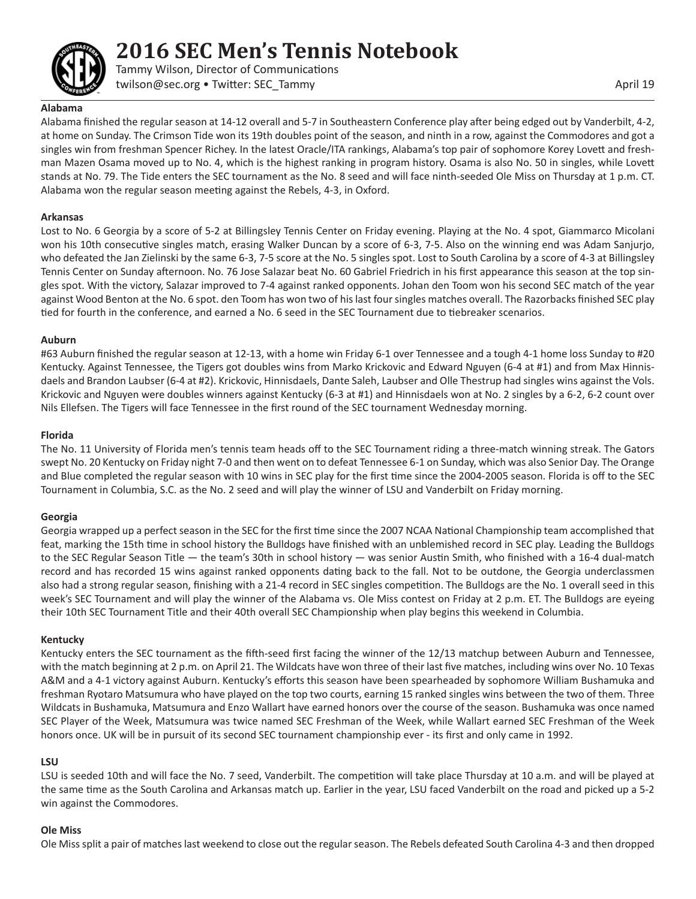

Tammy Wilson, Director of Communications twilson@sec.org • Twitter: SEC\_Tammy April 19

#### **Alabama**

Alabama finished the regular season at 14-12 overall and 5-7 in Southeastern Conference play after being edged out by Vanderbilt, 4-2, at home on Sunday. The Crimson Tide won its 19th doubles point of the season, and ninth in a row, against the Commodores and got a singles win from freshman Spencer Richey. In the latest Oracle/ITA rankings, Alabama's top pair of sophomore Korey Lovett and freshman Mazen Osama moved up to No. 4, which is the highest ranking in program history. Osama is also No. 50 in singles, while Lovett stands at No. 79. The Tide enters the SEC tournament as the No. 8 seed and will face ninth-seeded Ole Miss on Thursday at 1 p.m. CT. Alabama won the regular season meeting against the Rebels, 4-3, in Oxford.

## **Arkansas**

Lost to No. 6 Georgia by a score of 5-2 at Billingsley Tennis Center on Friday evening. Playing at the No. 4 spot, Giammarco Micolani won his 10th consecutive singles match, erasing Walker Duncan by a score of 6-3, 7-5. Also on the winning end was Adam Sanjurjo, who defeated the Jan Zielinski by the same 6-3, 7-5 score at the No. 5 singles spot. Lost to South Carolina by a score of 4-3 at Billingsley Tennis Center on Sunday afternoon. No. 76 Jose Salazar beat No. 60 Gabriel Friedrich in his first appearance this season at the top singles spot. With the victory, Salazar improved to 7-4 against ranked opponents. Johan den Toom won his second SEC match of the year against Wood Benton at the No. 6 spot. den Toom has won two of his last four singles matches overall. The Razorbacks finished SEC play tied for fourth in the conference, and earned a No. 6 seed in the SEC Tournament due to tiebreaker scenarios.

## **Auburn**

#63 Auburn finished the regular season at 12-13, with a home win Friday 6-1 over Tennessee and a tough 4-1 home loss Sunday to #20 Kentucky. Against Tennessee, the Tigers got doubles wins from Marko Krickovic and Edward Nguyen (6-4 at #1) and from Max Hinnisdaels and Brandon Laubser (6-4 at #2). Krickovic, Hinnisdaels, Dante Saleh, Laubser and Olle Thestrup had singles wins against the Vols. Krickovic and Nguyen were doubles winners against Kentucky (6-3 at #1) and Hinnisdaels won at No. 2 singles by a 6-2, 6-2 count over Nils Ellefsen. The Tigers will face Tennessee in the first round of the SEC tournament Wednesday morning.

## **Florida**

The No. 11 University of Florida men's tennis team heads off to the SEC Tournament riding a three-match winning streak. The Gators swept No. 20 Kentucky on Friday night 7-0 and then went on to defeat Tennessee 6-1 on Sunday, which was also Senior Day. The Orange and Blue completed the regular season with 10 wins in SEC play for the first time since the 2004-2005 season. Florida is off to the SEC Tournament in Columbia, S.C. as the No. 2 seed and will play the winner of LSU and Vanderbilt on Friday morning.

# **Georgia**

Georgia wrapped up a perfect season in the SEC for the first time since the 2007 NCAA National Championship team accomplished that feat, marking the 15th time in school history the Bulldogs have finished with an unblemished record in SEC play. Leading the Bulldogs to the SEC Regular Season Title — the team's 30th in school history — was senior Austin Smith, who finished with a 16-4 dual-match record and has recorded 15 wins against ranked opponents dating back to the fall. Not to be outdone, the Georgia underclassmen also had a strong regular season, finishing with a 21-4 record in SEC singles competition. The Bulldogs are the No. 1 overall seed in this week's SEC Tournament and will play the winner of the Alabama vs. Ole Miss contest on Friday at 2 p.m. ET. The Bulldogs are eyeing their 10th SEC Tournament Title and their 40th overall SEC Championship when play begins this weekend in Columbia.

## **Kentucky**

Kentucky enters the SEC tournament as the fifth-seed first facing the winner of the 12/13 matchup between Auburn and Tennessee, with the match beginning at 2 p.m. on April 21. The Wildcats have won three of their last five matches, including wins over No. 10 Texas A&M and a 4-1 victory against Auburn. Kentucky's efforts this season have been spearheaded by sophomore William Bushamuka and freshman Ryotaro Matsumura who have played on the top two courts, earning 15 ranked singles wins between the two of them. Three Wildcats in Bushamuka, Matsumura and Enzo Wallart have earned honors over the course of the season. Bushamuka was once named SEC Player of the Week, Matsumura was twice named SEC Freshman of the Week, while Wallart earned SEC Freshman of the Week honors once. UK will be in pursuit of its second SEC tournament championship ever - its first and only came in 1992.

## **LSU**

LSU is seeded 10th and will face the No. 7 seed, Vanderbilt. The competition will take place Thursday at 10 a.m. and will be played at the same time as the South Carolina and Arkansas match up. Earlier in the year, LSU faced Vanderbilt on the road and picked up a 5-2 win against the Commodores.

## **Ole Miss**

Ole Miss split a pair of matches last weekend to close out the regular season. The Rebels defeated South Carolina 4-3 and then dropped